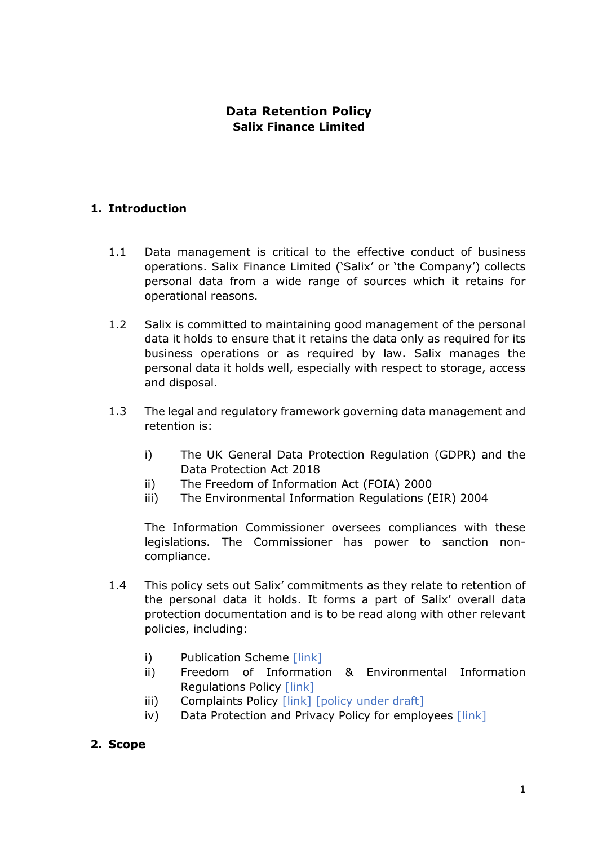## **Data Retention Policy Salix Finance Limited**

## **1. Introduction**

- 1.1 Data management is critical to the effective conduct of business operations. Salix Finance Limited ('Salix' or 'the Company') collects personal data from a wide range of sources which it retains for operational reasons.
- 1.2 Salix is committed to maintaining good management of the personal data it holds to ensure that it retains the data only as required for its business operations or as required by law. Salix manages the personal data it holds well, especially with respect to storage, access and disposal.
- 1.3 The legal and regulatory framework governing data management and retention is:
	- i) The UK General Data Protection Regulation (GDPR) and the Data Protection Act 2018
	- ii) The Freedom of Information Act (FOIA) 2000
	- iii) The Environmental Information Regulations (EIR) 2004

The Information Commissioner oversees compliances with these legislations. The Commissioner has power to sanction noncompliance.

- 1.4 This policy sets out Salix' commitments as they relate to retention of the personal data it holds. It forms a part of Salix' overall data protection documentation and is to be read along with other relevant policies, including:
	- i) Publication Scheme [link]
	- ii) Freedom of Information & Environmental Information Regulations Policy [link]
	- iii) Complaints Policy [link] [policy under draft]
	- iv) Data Protection and Privacy Policy for employees [link]
- **2. Scope**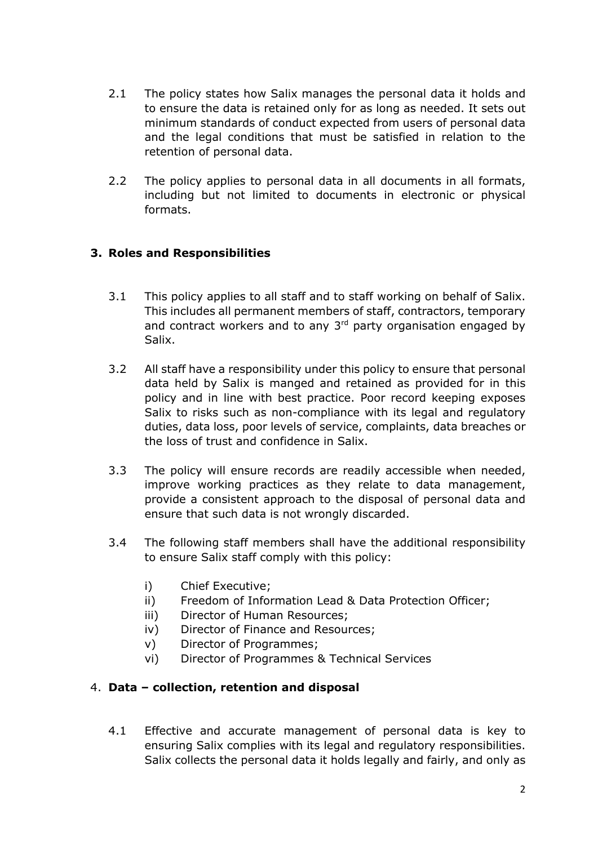- 2.1 The policy states how Salix manages the personal data it holds and to ensure the data is retained only for as long as needed. It sets out minimum standards of conduct expected from users of personal data and the legal conditions that must be satisfied in relation to the retention of personal data.
- 2.2 The policy applies to personal data in all documents in all formats, including but not limited to documents in electronic or physical formats.

## **3. Roles and Responsibilities**

- 3.1 This policy applies to all staff and to staff working on behalf of Salix. This includes all permanent members of staff, contractors, temporary and contract workers and to any 3<sup>rd</sup> party organisation engaged by Salix.
- 3.2 All staff have a responsibility under this policy to ensure that personal data held by Salix is manged and retained as provided for in this policy and in line with best practice. Poor record keeping exposes Salix to risks such as non-compliance with its legal and regulatory duties, data loss, poor levels of service, complaints, data breaches or the loss of trust and confidence in Salix.
- 3.3 The policy will ensure records are readily accessible when needed, improve working practices as they relate to data management, provide a consistent approach to the disposal of personal data and ensure that such data is not wrongly discarded.
- 3.4 The following staff members shall have the additional responsibility to ensure Salix staff comply with this policy:
	- i) Chief Executive;
	- ii) Freedom of Information Lead & Data Protection Officer;
	- iii) Director of Human Resources;
	- iv) Director of Finance and Resources;
	- v) Director of Programmes;
	- vi) Director of Programmes & Technical Services

## 4. **Data – collection, retention and disposal**

4.1 Effective and accurate management of personal data is key to ensuring Salix complies with its legal and regulatory responsibilities. Salix collects the personal data it holds legally and fairly, and only as